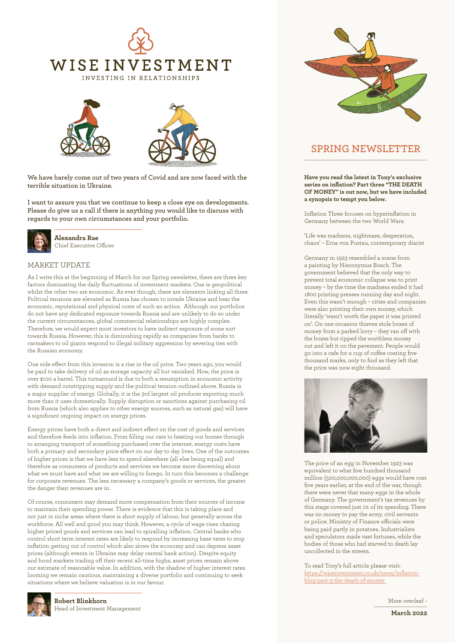



**We have barely come out of two years of Covid and are now faced with the terrible situation in Ukraine.**

**I want to assure you that we continue to keep a close eye on developments. Please do give us a call if there is anything you would like to discuss with regards to your own circumstances and your portfolio.**



**Alexandra Rae** Chief Executive Officer

#### MARKET UPDATE

As I write this at the beginning of March for our Spring newsletter, there are three key factors dominating the daily fluctuations of investment markets. One is geopolitical whilst the other two are economic. As ever though, there are elements linking all three. Political tensions are elevated as Russia has chosen to invade Ukraine and bear the economic, reputational and physical costs of such an action. Although our portfolios do not have any dedicated exposure towards Russia and are unlikely to do so under the current circumstances, global commercial relationships are highly complex. Therefore, we would expect most investors to have indirect exposure of some sort towards Russia. However, this is diminishing rapidly as companies from banks to carmakers to oil giants respond to illegal military aggression by severing ties with the Russian economy.

One side effect from this invasion is a rise in the oil price. Two years ago, you would be paid to take delivery of oil as storage capacity all but vanished. Now, the price is over \$100 a barrel. This turnaround is due to both a resumption in economic activity with demand outstripping supply and the political tension outlined above. Russia is a major supplier of energy. Globally, it is the 3rd largest oil producer exporting much more than it uses domestically. Supply disruption or sanctions against purchasing oil from Russia (which also applies to other energy sources, such as natural gas) will have a significant ongoing impact on energy prices.

Energy prices have both a direct and indirect effect on the cost of goods and services and therefore feeds into inflation. From filling our cars to heating our homes through to arranging transport of something purchased over the internet, energy costs have both a primary and secondary price effect on our day to day lives. One of the outcomes of higher prices is that we have less to spend elsewhere (all else being equal) and therefore as consumers of products and services we become more discerning about what we must have and what we are willing to forego. In turn this becomes a challenge for corporate revenues. The less necessary a company's goods or services, the greater the danger their revenues are in.

Of course, consumers may demand more compensation from their sources of income to maintain their spending power. There is evidence that this is taking place and not just in niche areas where there is short supply of labour, but generally across the workforce. All well and good you may think. However, a cycle of wage rises chasing higher priced goods and services can lead to spiralling inflation. Central banks who control short term interest rates are likely to respond by increasing base rates to stop inflation getting out of control which also slows the economy and can depress asset prices (although events in Ukraine may delay central bank action). Despite equity and bond markets trading off their recent all-time highs, asset prices remain above our estimate of reasonable value. In addition, with the shadow of higher interest rates looming we remain cautious, maintaining a diverse portfolio and continuing to seek situations where we believe valuation is in our favour.



## **SPRING NEWSLETTER**

**Have you read the latest in Tony's exclusive series on inflation? Part three "THE DEATH OF MONEY" is out now, but we have included a synopsis to tempt you below.** 

Inflation Three focuses on hyperinflation in Germany between the two World Wars.

'Life was madness, nightmare, desperation, chaos' – Erna von Pustau, contemporary diarist

Germany in 1923 resembled a scene from a painting by Hieronymus Bosch. The government believed that the only way to prevent total economic collapse was to print money – by the time the madness ended it had 1800 printing presses running day and night. Even this wasn't enough – cities and companies were also printing their own money, which literally 'wasn't worth the paper it was printed on'. On one occasion thieves stole boxes of money from a parked lorry – they ran off with the boxes but tipped the worthless money out and left it on the pavement. People would go into a cafe for a cup of coffee costing five thousand marks, only to find as they left that the price was now eight thousand.



The price of an egg in November 1923 was equivalent to what five hundred thousand million (500,000,000,000) eggs would have cost five years earlier, at the end of the war, though there were never that many eggs in the whole of Germany. The government's tax revenues by this stage covered just 1% of its spending. There was no money to pay the army, civil servants or police. Ministry of Finance officials were being paid partly in potatoes. Industrialists and speculators made vast fortunes, while the bodies of those who had starved to death lay uncollected in the streets.

To read Tony's full article please visit: [https://wiseinvestment.co.uk/news/inflation](https://wiseinvestment.co.uk/news/inflation-blog-part-3-the-death-of-money)[blog-part-3-the-death-of-money](https://wiseinvestment.co.uk/news/inflation-blog-part-3-the-death-of-money)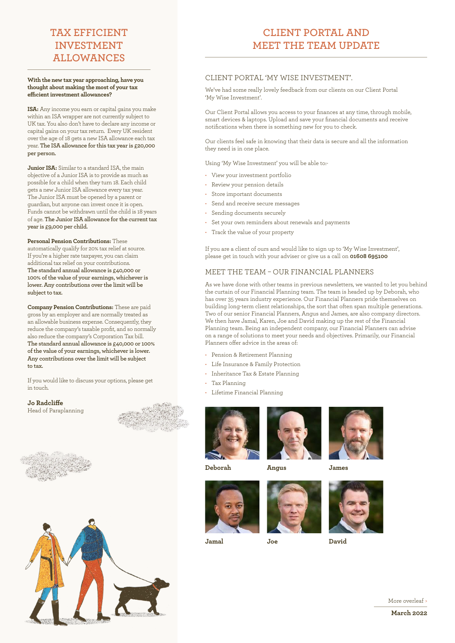# **TAX EFFICIENT INVESTMENT ALLOWANCES**

#### **With the new tax year approaching, have you thought about making the most of your tax efficient investment allowances?**

**ISA:** Any income you earn or capital gains you make within an ISA wrapper are not currently subject to UK tax. You also don't have to declare any income or capital gains on your tax return. Every UK resident over the age of 18 gets a new ISA allowance each tax year. **The ISA allowance for this tax year is £20,000 per person.** 

**Junior ISA:** Similar to a standard ISA, the main objective of a Junior ISA is to provide as much as possible for a child when they turn 18. Each child gets a new Junior ISA allowance every tax year. The Junior ISA must be opened by a parent or guardian, but anyone can invest once it is open. Funds cannot be withdrawn until the child is 18 years of age. **The Junior ISA allowance for the current tax year is £9,000 per child.**

**Personal Pension Contributions:** These automatically qualify for 20% tax relief at source. If you're a higher rate taxpayer, you can claim additional tax relief on your contributions. **The standard annual allowance is £40,000 or 100% of the value of your earnings, whichever is lower. Any contributions over the limit will be subject to tax.** 

**Company Pension Contributions:** These are paid gross by an employer and are normally treated as an allowable business expense. Consequently, they reduce the company's taxable profit, and so normally also reduce the company's Corporation Tax bill. **The standard annual allowance is £40,000 or 100% of the value of your earnings, whichever is lower. Any contributions over the limit will be subject to tax.**

If you would like to discuss your options, please get in touch.

**Jo Radcliffe** Head of Paraplanning







#### CLIENT PORTAL 'MY WISE INVESTMENT'.

We've had some really lovely feedback from our clients on our Client Portal 'My Wise Investment'.

Our Client Portal allows you access to your finances at any time, through mobile, smart devices & laptops. Upload and save your financial documents and receive notifications when there is something new for you to check.

Our clients feel safe in knowing that their data is secure and all the information they need is in one place.

Using 'My Wise Investment' you will be able to:-

- View your investment portfolio
- Review your pension details
- Store important documents
- Send and receive secure messages
- Sending documents securely
- Set your own reminders about renewals and payments
- Track the value of your property

If you are a client of ours and would like to sign up to 'My Wise Investment', please get in touch with your adviser or give us a call on **01608 695100**

#### MEET THE TEAM – OUR FINANCIAL PLANNERS

As we have done with other teams in previous newsletters, we wanted to let you behind the curtain of our Financial Planning team. The team is headed up by Deborah, who has over 35 years industry experience. Our Financial Planners pride themselves on building long-term client relationships, the sort that often span multiple generations. Two of our senior Financial Planners, Angus and James, are also company directors. We then have Jamal, Karen, Joe and David making up the rest of the Financial Planning team. Being an independent company, our Financial Planners can advise on a range of solutions to meet your needs and objectives. Primarily, our Financial Planners offer advice in the areas of:

- Pension & Retirement Planning
- Life Insurance & Family Protection
- Inheritance Tax & Estate Planning
- Tax Planning
- Lifetime Financial Planning



**Deborah**

**Jamal**



**Angus**